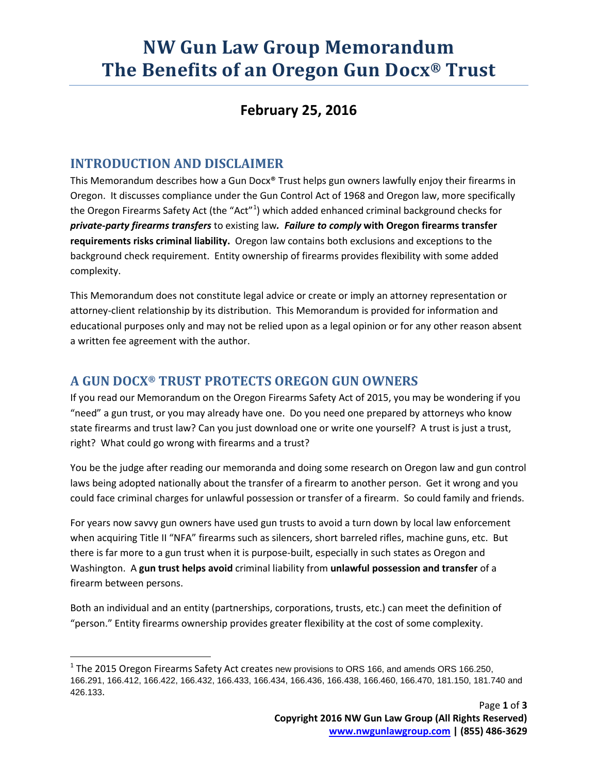# **NW Gun Law Group Memorandum The Benefits of an Oregon Gun Docx® Trust**

### **February 25, 2016**

#### **INTRODUCTION AND DISCLAIMER**

This Memorandum describes how a Gun Docx® Trust helps gun owners lawfully enjoy their firearms in Oregon. It discusses compliance under the Gun Control Act of 1968 and Oregon law, more specifically the Oregon Firearms Safety Act (the "Act"<sup>[1](#page-0-0)</sup>) which added enhanced criminal background checks for *private-party firearms transfers* to existing law*. Failure to comply* **with Oregon firearms transfer requirements risks criminal liability.** Oregon law contains both exclusions and exceptions to the background check requirement. Entity ownership of firearms provides flexibility with some added complexity.

This Memorandum does not constitute legal advice or create or imply an attorney representation or attorney-client relationship by its distribution. This Memorandum is provided for information and educational purposes only and may not be relied upon as a legal opinion or for any other reason absent a written fee agreement with the author.

#### **A GUN DOCX® TRUST PROTECTS OREGON GUN OWNERS**

If you read our Memorandum on the Oregon Firearms Safety Act of 2015, you may be wondering if you "need" a gun trust, or you may already have one. Do you need one prepared by attorneys who know state firearms and trust law? Can you just download one or write one yourself? A trust is just a trust, right? What could go wrong with firearms and a trust?

You be the judge after reading our memoranda and doing some research on Oregon law and gun control laws being adopted nationally about the transfer of a firearm to another person. Get it wrong and you could face criminal charges for unlawful possession or transfer of a firearm. So could family and friends.

For years now savvy gun owners have used gun trusts to avoid a turn down by local law enforcement when acquiring Title II "NFA" firearms such as silencers, short barreled rifles, machine guns, etc. But there is far more to a gun trust when it is purpose-built, especially in such states as Oregon and Washington. A **gun trust helps avoid** criminal liability from **unlawful possession and transfer** of a firearm between persons.

Both an individual and an entity (partnerships, corporations, trusts, etc.) can meet the definition of "person." Entity firearms ownership provides greater flexibility at the cost of some complexity.

<span id="page-0-0"></span> $<sup>1</sup>$  The 2015 Oregon Firearms Safety Act creates new provisions to ORS 166, and amends ORS 166.250,</sup> 166.291, 166.412, 166.422, 166.432, 166.433, 166.434, 166.436, 166.438, 166.460, 166.470, 181.150, 181.740 and 426.133.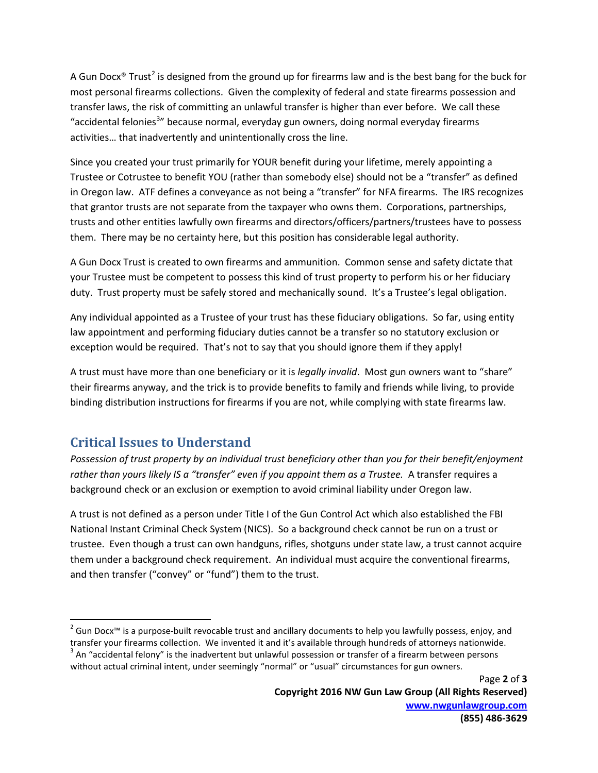A Gun Docx<sup>®</sup> Trust<sup>[2](#page-1-0)</sup> is designed from the ground up for firearms law and is the best bang for the buck for most personal firearms collections. Given the complexity of federal and state firearms possession and transfer laws, the risk of committing an unlawful transfer is higher than ever before. We call these "accidental felonies<sup>[3](#page-1-1)</sup>" because normal, everyday gun owners, doing normal everyday firearms activities… that inadvertently and unintentionally cross the line.

Since you created your trust primarily for YOUR benefit during your lifetime, merely appointing a Trustee or Cotrustee to benefit YOU (rather than somebody else) should not be a "transfer" as defined in Oregon law. ATF defines a conveyance as not being a "transfer" for NFA firearms. The IRS recognizes that grantor trusts are not separate from the taxpayer who owns them. Corporations, partnerships, trusts and other entities lawfully own firearms and directors/officers/partners/trustees have to possess them. There may be no certainty here, but this position has considerable legal authority.

A Gun Docx Trust is created to own firearms and ammunition. Common sense and safety dictate that your Trustee must be competent to possess this kind of trust property to perform his or her fiduciary duty. Trust property must be safely stored and mechanically sound. It's a Trustee's legal obligation.

Any individual appointed as a Trustee of your trust has these fiduciary obligations. So far, using entity law appointment and performing fiduciary duties cannot be a transfer so no statutory exclusion or exception would be required. That's not to say that you should ignore them if they apply!

A trust must have more than one beneficiary or it is *legally invalid*. Most gun owners want to "share" their firearms anyway, and the trick is to provide benefits to family and friends while living, to provide binding distribution instructions for firearms if you are not, while complying with state firearms law.

## **Critical Issues to Understand**

*Possession of trust property by an individual trust beneficiary other than you for their benefit/enjoyment rather than yours likely IS a "transfer" even if you appoint them as a Trustee.* A transfer requires a background check or an exclusion or exemption to avoid criminal liability under Oregon law.

A trust is not defined as a person under Title I of the Gun Control Act which also established the FBI National Instant Criminal Check System (NICS). So a background check cannot be run on a trust or trustee. Even though a trust can own handguns, rifles, shotguns under state law, a trust cannot acquire them under a background check requirement. An individual must acquire the conventional firearms, and then transfer ("convey" or "fund") them to the trust.

<span id="page-1-0"></span><sup>&</sup>lt;sup>2</sup> Gun Docx™ is a purpose-built revocable trust and ancillary documents to help you lawfully possess, enjoy, and transfer your firearms collection. We invented it and it's available through hundreds of attorneys nationwide.<br> $3$  An "accidental felony" is the inadvertent but unlawful possession or transfer of a firearm between persons

<span id="page-1-1"></span>without actual criminal intent, under seemingly "normal" or "usual" circumstances for gun owners.